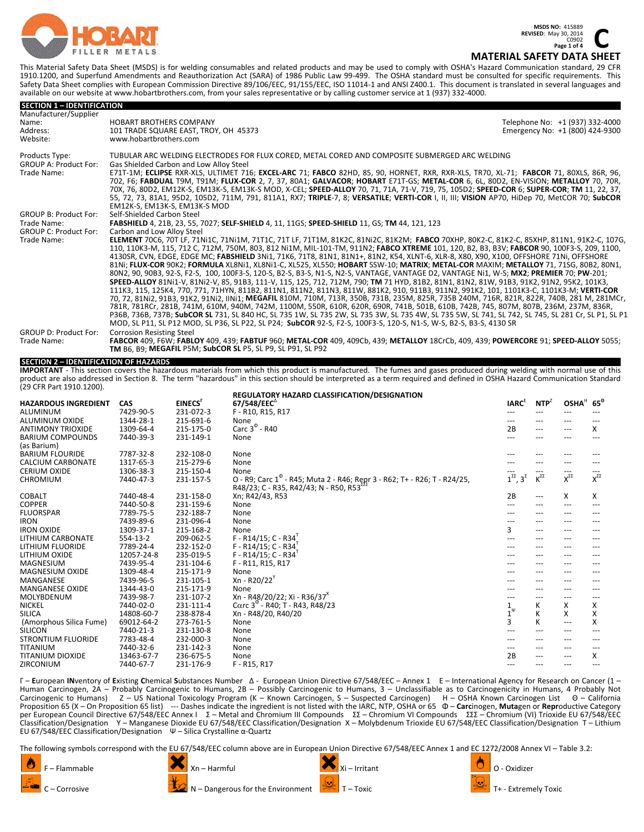

**REVISED:** May 30, 2014<br>
C0902<br> **COPPED 164**<br>
COPPED 164 **Page 1 of 4**

# **MATERIAL SAFETY DATA SHEET**

This Material Safety Data Sheet (MSDS) is for welding consumables and related products and may be used to comply with OSHA's Hazard Communication standard, 29 CFR 1910.1200, and Superfund Amendments and Reauthorization Act (SARA) of 1986 Public Law 99‐499. The OSHA standard must be consulted for specific requirements. This Safety Data Sheet complies with European Commission Directive 89/106/EEC, 91/155/EEC, ISO 11014‐1 and ANSI Z400.1. This document is translated in several languages and available on our website at www.hobartbrothers.com, from your sales representative or by calling customer service at 1 (937) 332‐4000.

| <b>SECTION 1 - IDENTIFICATION</b>                                           |                                                                                                                                                                                                                                                                                                                                                                                                                                                                                                                                                                                                                                                                                                                                                                                                                                                                                                                                                                                                                                                                                                                                                                                                                                                                                                                                                                                                                                                                                                                                                                                      |                                                                    |
|-----------------------------------------------------------------------------|--------------------------------------------------------------------------------------------------------------------------------------------------------------------------------------------------------------------------------------------------------------------------------------------------------------------------------------------------------------------------------------------------------------------------------------------------------------------------------------------------------------------------------------------------------------------------------------------------------------------------------------------------------------------------------------------------------------------------------------------------------------------------------------------------------------------------------------------------------------------------------------------------------------------------------------------------------------------------------------------------------------------------------------------------------------------------------------------------------------------------------------------------------------------------------------------------------------------------------------------------------------------------------------------------------------------------------------------------------------------------------------------------------------------------------------------------------------------------------------------------------------------------------------------------------------------------------------|--------------------------------------------------------------------|
| Manufacturer/Supplier<br>Name:<br>Address:<br>Website:                      | <b>HOBART BROTHERS COMPANY</b><br>101 TRADE SQUARE EAST, TROY, OH 45373<br>www.hobartbrothers.com                                                                                                                                                                                                                                                                                                                                                                                                                                                                                                                                                                                                                                                                                                                                                                                                                                                                                                                                                                                                                                                                                                                                                                                                                                                                                                                                                                                                                                                                                    | Telephone No: +1 (937) 332-4000<br>Emergency No: +1 (800) 424-9300 |
| Products Type:<br><b>GROUP A: Product For:</b><br>Trade Name:               | TUBULAR ARC WELDING ELECTRODES FOR FLUX CORED. METAL CORED AND COMPOSITE SUBMERGED ARC WELDING<br>Gas Shielded Carbon and Low Alloy Steel<br>E71T-1M; ECLIPSE RXR-XLS, ULTIMET 716; EXCEL-ARC 71; FABCO 82HD, 85, 90, HORNET, RXR, RXR-XLS, TR70, XL-71; FABCOR 71, 80XLS, 86R, 96,<br>702, F6; FABDUAL T9M, T91M; FLUX-COR 2, 7, 37, 80A1; GALVACOR; HOBART E71T-GS; METAL-COR 6, 6L, 80D2, EN-VISION; METALLOY 70, 70R,<br>70X, 76, 80D2, EM12K-S, EM13K-S, EM13K-S MOD, X-CEL; SPEED-ALLOY 70, 71, 71A, 71-V, 719, 75, 105D2; SPEED-COR 6; SUPER-COR; TM 11, 22, 37,<br>55, 72, 73, 81A1, 95D2, 105D2, 711M, 791, 811A1, RX7; TRIPLE-7, 8; VERSATILE; VERTI-COR I, II, III; VISION AP70, HiDep 70, MetCOR 70; SubCOR<br>EM12K-S. EM13K-S. EM13K-S MOD                                                                                                                                                                                                                                                                                                                                                                                                                                                                                                                                                                                                                                                                                                                                                                                                                             |                                                                    |
| <b>GROUP B: Product For:</b><br>Trade Name:<br><b>GROUP C: Product For:</b> | Self-Shielded Carbon Steel<br>FABSHIELD 4, 21B, 23, 55, 7027; SELF-SHIELD 4, 11, 11GS; SPEED-SHIELD 11, GS; TM 44, 121, 123<br>Carbon and Low Alloy Steel                                                                                                                                                                                                                                                                                                                                                                                                                                                                                                                                                                                                                                                                                                                                                                                                                                                                                                                                                                                                                                                                                                                                                                                                                                                                                                                                                                                                                            |                                                                    |
| Trade Name:                                                                 | ELEMENT 70C6, 70T LF, 71Ni1C, 71Ni1M, 71T1C, 71T LF, 71T1M, 81K2C, 81Ni2C, 81K2M; FABCO 70XHP, 80K2-C, 81K2-C, 85XHP, 811N1, 91K2-C, 107G,<br>110, 110K3-M, 115, 712 C, 712M, 750M, 803, 812 Ni1M, MIL-101-TM, 911N2; FABCO XTREME 101, 120, B2, B3, B3V; FABCOR 90, 100F3-S, 209, 1100,<br>4130SR, CVN, EDGE, EDGE MC; FABSHIELD 3Ni1, 71K6, 71T8, 81N1, 81N1+, 81N2, K54, XLNT-6, XLR-8, X80, X90, X100, OFFSHORE 71Ni, OFFSHORE<br>81Ni; FLUX-COR 90K2; FORMULA XL8Ni1, XL8Ni1-C, XL525, XL550; HOBART SSW-10; MATRIX; METAL-COR MAXIM; METALLOY 71, 71SG, 80B2, 80N1,<br>80N2, 90, 90B3, 92-S, F2-S, 100, 100F3-S, 120-S, B2-S, B3-S, N1-S, N2-S, VANTAGE, VANTAGE D2, VANTAGE Ni1, W-S; MX2; PREMIER 70; PW-201;<br>SPEED-ALLOY 81Ni1-V, 81Ni2-V, 85, 91B3, 111-V, 115, 125, 712, 712M, 790; TM 71 HYD, 81B2, 81N1, 81N2, 81W, 91B3, 91K2, 91N2, 95K2, 101K3,<br>111K3, 115, 125K4, 770, 771, 71HYN, 811B2, 811N1, 811N2, 811N3, 811W, 881K2, 910, 911B3, 911N2, 991K2, 101, 1101K3-C, 1101K3-M; VERTI-COR<br>70, 72, 81Ni2, 91B3, 91K2, 91Ni2, IINi1; MEGAFIL 810M, 710M, 713R, 350B, 731B, 235M, 825R, 735B 240M, 716R, 821R, 822R, 740B, 281 M, 281MCr,<br>781R, 781RCr, 281B, 741M, 610M, 940M, 742M, 1100M, 550R, 610R, 620R, 690R, 741B, 501B, 610B, 742B, 745, 807M, 807B, 236M, 237M, 836R,<br>P36B, 736B, 737B; SubCOR SL 731, SL 840 HC, SL 735 1W, SL 735 2W, SL 735 3W, SL 735 4W, SL 735 5W, SL 741, SL 742, SL 745, SL 281 Cr, SL P1, SL P1<br>MOD, SL P11, SL P12 MOD, SL P36, SL P22, SL P24; SubCOR 92-S, F2-S, 100F3-S, 120-S, N1-S, W-S, B2-S, B3-S, 4130 SR |                                                                    |
| <b>GROUP D: Product For:</b><br>Trade Name:                                 | <b>Corrosion Resisting Steel</b><br>FABCOR 409, F6W; FABLOY 409, 439; FABTUF 960; METAL-COR 409, 409Cb, 439; METALLOY 18CrCb, 409, 439; POWERCORE 91; SPEED-ALLOY 5055;<br><b>TM B6. B9: MEGAFIL P5M: SubCOR SL P5, SL P9, SL P91, SL P92</b>                                                                                                                                                                                                                                                                                                                                                                                                                                                                                                                                                                                                                                                                                                                                                                                                                                                                                                                                                                                                                                                                                                                                                                                                                                                                                                                                        |                                                                    |

### **SECTION 2 – IDENTIFICATION OF HAZARDS**

IMPORTANT - This section covers the hazardous materials from which this product is manufactured. The fumes and gases produced during welding with normal use of this product are also addressed in Section 8. The term "hazardous" in this section should be interpreted as a term required and defined in OSHA Hazard Communication Standard (29 CFR Part 1910.1200).

| <b>HAZARDOUS INGREDIENT</b> | <b>CAS</b> | EINECS'   | REGULATORY HAZARD CLASSIFICATION/DESIGNATION<br>67/548/EEC                           | <b>IARC</b> <sup>E</sup>          | $NTP^Z$            | OSHA <sup>H</sup> 65 <sup>°</sup> |                    |
|-----------------------------|------------|-----------|--------------------------------------------------------------------------------------|-----------------------------------|--------------------|-----------------------------------|--------------------|
| ALUMINUM                    | 7429-90-5  | 231-072-3 | F - R10, R15, R17                                                                    | ---                               | ---                | ---                               |                    |
| <b>ALUMINUM OXIDE</b>       | 1344-28-1  | 215-691-6 | None                                                                                 |                                   | ---                | ---                               |                    |
| <b>ANTIMONY TRIOXIDE</b>    | 1309-64-4  | 215-175-0 | Carc $3^{\circ}$ - R40                                                               | 2B                                | ---                | ---                               | x                  |
| <b>BARIUM COMPOUNDS</b>     | 7440-39-3  | 231-149-1 | None                                                                                 |                                   | ---                | ---                               |                    |
| (as Barium)                 |            |           |                                                                                      |                                   |                    |                                   |                    |
| <b>BARIUM FLOURIDE</b>      | 7787-32-8  | 232-108-0 | None                                                                                 |                                   | ---                | ---                               |                    |
| <b>CALCIUM CARBONATE</b>    | 1317-65-3  | 215-279-6 | None                                                                                 |                                   | ---                | ---                               |                    |
| <b>CERIUM OXIDE</b>         | 1306-38-3  | 215-150-4 | None                                                                                 |                                   | ---                | ---                               |                    |
| <b>CHROMIUM</b>             | 7440-47-3  | 231-157-5 | O - R9; Carc 1 <sup>º</sup> - R45; Muta 2 - R46; Repr 3 - R62; T+ - R26; T - R24/25, | $1^{\Sigma\Sigma}$ , $3^{\Sigma}$ | $K^{\Sigma\Sigma}$ | $\mathsf{X}^{\Sigma\Sigma}$       | $X^{\Sigma\Sigma}$ |
|                             |            |           | R48/23; C - R35, R42/43; N - R50, R53                                                |                                   |                    |                                   |                    |
| <b>COBALT</b>               | 7440-48-4  | 231-158-0 | Xn; R42/43, R53                                                                      | 2B                                | $\cdots$           | X                                 | X                  |
| <b>COPPER</b>               | 7440-50-8  | 231-159-6 | None                                                                                 | ---                               | $---$              | $--$                              | ---                |
| <b>FLUORSPAR</b>            | 7789-75-5  | 232-188-7 | None                                                                                 |                                   | $---$              | ---                               |                    |
| <b>IRON</b>                 | 7439-89-6  | 231-096-4 | None                                                                                 |                                   | ---                | ---                               |                    |
| <b>IRON OXIDE</b>           | 1309-37-1  | 215-168-2 | None                                                                                 | 3                                 | $ -$               | ---                               |                    |
| LITHIUM CARBONATE           | 554-13-2   | 209-062-5 | F - R14/15; C - R34                                                                  | ---                               | $---$              | ---                               |                    |
| LITHIUM FLUORIDE            | 7789-24-4  | 232-152-0 | F - R14/15; C - R34                                                                  |                                   | ---                | ---                               |                    |
| LITHIUM OXIDE               | 12057-24-8 | 235-019-5 | F - R14/15; C - R34                                                                  |                                   | ---                | ---                               |                    |
| <b>MAGNESIUM</b>            | 7439-95-4  | 231-104-6 | F - R11, R15, R17                                                                    |                                   | ---                | ---                               |                    |
| <b>MAGNESIUM OXIDE</b>      | 1309-48-4  | 215-171-9 | None                                                                                 |                                   | ---                | ---                               |                    |
| <b>MANGANESE</b>            | 7439-96-5  | 231-105-1 | Xn - R20/22                                                                          |                                   |                    |                                   |                    |
| <b>MANGANESE OXIDE</b>      | 1344-43-0  | 215-171-9 | None                                                                                 |                                   | ---                | ---                               |                    |
| MOLYBDENUM                  | 7439-98-7  | 231-107-2 | Xn - R48/20/22; Xi - R36/37 <sup>*</sup>                                             | ---                               | ---                | $--$                              | ---                |
| <b>NICKEL</b>               | 7440-02-0  | 231-111-4 | Carc $3^{\circ}$ - R40; T - R43, R48/23                                              | $\frac{1}{1}^{\psi}$              | К                  | X                                 | x                  |
| <b>SILICA</b>               | 14808-60-7 | 238-878-4 | Xn - R48/20, R40/20                                                                  |                                   | K                  | X                                 | X                  |
| (Amorphous Silica Fume)     | 69012-64-2 | 273-761-5 | None                                                                                 | 3                                 | K                  | $---$                             | X                  |
| <b>SILICON</b>              | 7440-21-3  | 231-130-8 | None                                                                                 | ---                               | ---                | ---                               |                    |
| <b>STRONTIUM FLUORIDE</b>   | 7783-48-4  | 232-000-3 | None                                                                                 |                                   | ---                | $---$                             |                    |
| <b>TITANIUM</b>             | 7440-32-6  | 231-142-3 | None                                                                                 |                                   | ---                | ---                               |                    |
| <b>TITANIUM DIOXIDE</b>     | 13463-67-7 | 236-675-5 | None                                                                                 | 2B                                | ---                | ---                               | X                  |
| <b>ZIRCONIUM</b>            | 7440-67-7  | 231-176-9 | F - R15, R17                                                                         | ---                               | $---$              | $---$                             | ---                |

Γ – **E**uropean **IN**ventory of **E**xisting **C**hemical **S**ubstances Number Δ ‐ European Union Directive 67/548/EEC – Annex 1 Ε – International Agency for Research on Cancer (1 – Human Carcinogen, 2A – Probably Carcinogenic to Humans, 2B – Possibly Carcinogenic to Humans, 3 – Unclassifiable as to Carcinogenicity in Humans, 4 Probably Not Carcinogenic to Humans) 2 – US National Toxicology Program (K – Known Carcinogen, S – Suspected Carcinogen) H – OSHA Known Carcinogen List 0 – California<br>Proposition 65 (X – On Proposition 65 list) --- Dashes indicate the per European Council Directive 67/548/EEC Annex I Σ – Metal and Chromium III Compounds ΣΣ – Chromium VI Compounds ΣΣΣ – Chromium (VI) Trioxide EU 67/548/EEC Classification/Designation Y – Manganese Dioxide EU 67/548/EEC Classification/Designation X – Molybdenum Trioxide EU 67/548/EEC Classification/Designation Τ – Lithium EU 67/548/EEC Classification/Designation Ψ – Silica Crystalline α‐Quartz

The following symbols correspond with the EU 67/548/EEC column above are in European Union Directive 67/548/EEC Annex 1 and EC 1272/2008 Annex VI – Table 3.2:





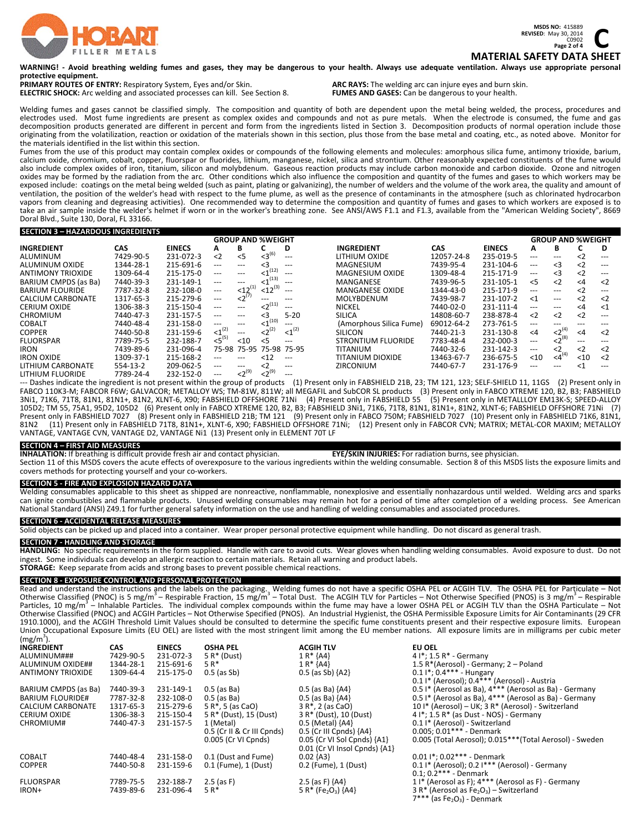

**REVISED:** May 30, 2014<br>
C0902<br>
C0902<br>
COLOGY DATA SULT **Page 2 of 4 MATERIAL SAFETY DATA SHEET**

#### WARNING! - Avoid breathing welding fumes and gases, they may be dangerous to your health. Always use adequate ventilation. Always use appropriate personal **protective equipment.**

**PRIMARY ROUTES OF ENTRY:** Respiratory System, Eyes and/or Skin. **ARC RAYS:** The welding arc can injure eyes and burn skin. **ARC RAYS:** The welding arc can injure eyes and burn skin. **ELECTRIC SHOCK:** Arc welding and ass **ELECTRIC SHOCK:** Arc welding and associated processes can kill. See Section 8.

Welding fumes and gases cannot be classified simply. The composition and quantity of both are dependent upon the metal being welded, the process, procedures and electrodes used. Most fume ingredients are present as complex oxides and compounds and not as pure metals. When the electrode is consumed, the fume and gas<br>decomposition products generated are different in percent and form originating from the volatilization, reaction or oxidation of the materials shown in this section, plus those from the base metal and coating, etc., as noted above. Monitor for the materials identified in the list within this section.

Fumes from the use of this product may contain complex oxides or compounds of the following elements and molecules: amorphous silica fume, antimony trioxide, barium, calcium oxide, chromium, cobalt, copper, fluorspar or fluorides, lithium, manganese, nickel, silica and strontium. Other reasonably expected constituents of the fume would also include complex oxides of iron, titanium, silicon and molybdenum. Gaseous reaction products may include carbon monoxide and carbon dioxide. Ozone and nitrogen oxides may be formed by the radiation from the arc. Other conditions which also influence the composition and quantity of the fumes and gases to which workers may be exposed include: coatings on the metal being welded (such as paint, plating or galvanizing), the number of welders and the volume of the work area, the quality and amount of ventilation, the position of the welder's head with respect to the fume plume, as well as the presence of contaminants in the atmosphere (such as chlorinated hydrocarbon vapors from cleaning and degreasing activities). One recommended way to determine the composition and quantity of fumes and gases to which workers are exposed is to take an air sample inside the welder's helmet if worn or in the worker's breathing zone. See ANSI/AWS F1.1 and F1.3, available from the "American Welding Society", 8669 Doral Blvd., Suite 130, Doral, FL 33166.

#### **SECTION 3 – HAZARDOUS INGREDIENTS**

| <b>GROUP AND %WEIGHT</b> |           |               |                |             |                 |                        |                           | <b>GROUP AND %WEIGHT</b> |               |                      |                |             |             |
|--------------------------|-----------|---------------|----------------|-------------|-----------------|------------------------|---------------------------|--------------------------|---------------|----------------------|----------------|-------------|-------------|
| <b>INGREDIENT</b>        | CAS.      | <b>EINECS</b> | А              | в           |                 | D                      | <b>INGREDIENT</b>         | <b>CAS</b>               | <b>EINECS</b> | Α                    | в              |             | D           |
| ALUMINUM                 | 7429-90-5 | 231-072-3     | $\langle$ 2    | < 5         | $<3^{(6)}$      | $---$                  | LITHIUM OXIDE             | 12057-24-8               | 235-019-5     | ---                  |                | $\langle$ 2 | $---$       |
| ALUMINUM OXIDE           | 1344-28-1 | 215-691-6     | ---            | ---         | <3              | $---$                  | <b>MAGNESIUM</b>          | 7439-95-4                | 231-104-6     | $\sim$ $\sim$ $\sim$ | - <3           | $\langle$ 2 | $---$       |
| <b>ANTIMONY TRIOXIDE</b> | 1309-64-4 | 215-175-0     | ---            | ---         | (12)            | $---$                  | <b>MAGNESIUM OXIDE</b>    | 1309-48-4                | 215-171-9     | $\sim$ $\sim$ $\sim$ | $\leq$ 3       | $\langle$ 2 | $---$       |
| BARIUM CMPDS (as Ba)     | 7440-39-3 | 231-149-1     | ---            | ---         | (13)            | $---$                  | MANGANESE                 | 7439-96-5                | 231-105-1     | < 5                  | $\langle$ 2    | $\leq 4$    | $\langle$ 2 |
| <b>BARIUM FLOURIDE</b>   | 7787-32-8 | 232-108-0     | $---$          | $12^{(1)}$  | $<$ 12 $^{(3)}$ | $---$                  | <b>MANGANESE OXIDE</b>    | 1344-43-0                | 215-171-9     | ---                  | ---            | $\langle$ 2 | $---$       |
| CALCIUM CARBONATE        | 1317-65-3 | 215-279-6     | $---$          | $<2^{(7)}$  |                 |                        | <b>MOLYBDENUM</b>         | 7439-98-7                | 231-107-2     | $<$ 1                | $---$          | $\langle$ 2 | $\langle$   |
| <b>CERIUM OXIDE</b>      | 1306-38-3 | 215-150-4     | ---            | ---         | ${2}^{(11)}$    | $---$                  | <b>NICKEL</b>             | 7440-02-0                | 231-111-4     | ---                  | ---            | $\leq 4$    | $<$ 1       |
| <b>CHROMIUM</b>          | 7440-47-3 | 231-157-5     | ---            | ---         | <3              | $5 - 20$               | <b>SILICA</b>             | 14808-60-7               | 238-878-4     | $\langle$ 2          | $\langle$ 2    | $\langle$ 2 | $---$       |
| <b>COBALT</b>            | 7440-48-4 | 231-158-0     |                |             | (10)<br><1      | $---$                  | (Amorphous Silica Fume)   | 69012-64-2               | 273-761-5     | $\cdots$             | ---            | $---$       | $---$       |
| <b>COPPER</b>            | 7440-50-8 | 231-159-6     | $<$ 1 $^{(2)}$ | $---$       | ${2}^{(2)}$     | $<1^{(2)}$             | <b>SILICON</b>            | 7440-21-3                | 231-130-8     | $\leq 4$             | $2^{(4)}$      | $\leq 4$    | $\langle$ 2 |
| <b>FLUORSPAR</b>         | 7789-75-5 | 232-188-7     | $<5^{(5)}$     | < 10        | < 5             | $---$                  | <b>STRONTIUM FLUORIDE</b> | 7783-48-4                | 232-000-3     | $---$                | $<2^{(8)}$     | $---$       |             |
| <b>IRON</b>              | 7439-89-6 | 231-096-4     |                | 75-98 75-95 |                 | 75-98 75-95            | <b>TITANIUM</b>           | 7440-32-6                | 231-142-3     | $\frac{1}{2}$        | $\leq$         | $\langle$ 2 | $\langle$ 2 |
| <b>IRON OXIDE</b>        | 1309-37-1 | 215-168-2     | ---            | ---         | < 12            | $\qquad \qquad \cdots$ | TITANIUM DIOXIDE          | 13463-67-7               | 236-675-5     | $<$ 10               | $<$ 4 $^{(4)}$ | $10$        | $\langle$   |
| LITHIUM CARBONATE        | 554-13-2  | 209-062-5     | ---            | $---$       |                 | $\qquad \qquad -$      | <b>ZIRCONIUM</b>          | 7440-67-7                | 231-176-9     | ---                  | ---            | <1          | $---$       |
| LITHIUM FLUORIDE         | 7789-24-4 | 232-152-0     | ---            | $<2^{(9)}$  | $<2^{(9)}$      | $\qquad \qquad -$      |                           |                          |               |                      |                |             |             |

--- Dashes indicate the ingredient is not present within the group of products (1) Present only in FABSHIELD 21B, 23; TM 121, 123; SELF-SHIELD 11, 11GS (2) Present only in FABCO 110K3-M; FABCOR F6W; GALVACOR; METALLOY WS; TM-81W, 811W; all MEGAFIL and SubCOR SL products (3) Present only in FABCO XTREME 120, B2, B3; FABSHIELD 3Ni1, 71K6, 71T8, 81N1, 81N1+, 81N2, XLNT‐6, X90; FABSHIELD OFFSHORE 71Ni (4) Present only in FABSHIELD 55 (5) Present only in METALLLOY EM13K‐S; SPEED‐ALLOY 105D2; TM 55, 75A1, 95D2, 105D2 (6) Present only in FABCO XTREME 120, B2, B3; FABSHIELD 3Ni1, 71K6, 71T8, 81N1, 81N1+, 81N2, XLNT‐6; FABSHIELD OFFSHORE 71Ni (7) Present only in FABSHIELD 7027 (8) Present only in FABSHIELD 21B; TM 121 (9) Present only in FABSCHIELD 7027(10)Present only in FABSHIELD 71K6, 81N1,<br>81N2 (11) Present only in FABSHIELD 71T8, 81N1+, XLNT-6, X90; FABSHIELD VANTAGE, VANTAGE CVN, VANTAGE D2, VANTAGE Ni1 (13) Present only in ELEMENT 70T LF

# **INHALATION:** If breathing is difficult provide fresh air and contact physician.

**SECTION 4 – FIRST AID MEASURES**<br>**INHALATION:** If breathing is difficult provide fresh air and contact physician. **EYE/SKIN INJURIES:** For radiation burns, see physician.

Section 11 of this MSDS covers the acute effects of overexposure to the various ingredients within the welding consumable. Section 8 of this MSDS lists the exposure limits and covers methods for protecting yourself and your co‐workers.

### **SECTION 5 ‐ FIRE AND EXPLOSION HAZARD DATA**

Welding consumables applicable to this sheet as shipped are nonreactive, nonflammable, nonexplosive and essentially nonhazardous until welded. Welding arcs and sparks can ignite combustibles and flammable products. Unused welding consumables may remain hot for a period of time after completion of a welding process. See American National Standard (ANSI) Z49.1 for further general safety information on the use and handling of welding consumables and associated procedures.

# **SECTION 6 ‐ ACCIDENTAL RELEASE MEASURES**

Solid objects can be picked up and placed into a container. Wear proper personal protective equipment while handling. Do not discard as general trash.

SECTION 7 - HANDLING AND STORAGE<br>HANDLING: No specific requirements in the form supplied. Handle with care to avoid cuts. Wear gloves when handling welding consumables. Avoid exposure to dust. Do not ingest. Some individuals can develop an allergic reaction to certain materials. Retain all warning and product labels. **STORAGE:** Keep separate from acids and strong bases to prevent possible chemical reactions.

SECTION 8 - EXPOSURE CONTROL AND PERSONAL PROTECTION<br>Read and understand the instructions and the labels on the packaging. Welding fumes do not have a specific OSHA PEL or ACGIH TLV. The OSHA PEL for Particulate – Not<br>Othe Particles, 10 mg/m<sup>3</sup> – Inhalable Particles. The individual complex compounds within the fume may have a lower OSHA PEL or ACGIH TLV than the OSHA Particulate – Not Otherwise Classified (PNOC) and ACGIH Particles – Not Otherwise Specified (PNOS). An Industrial Hygienist, the OSHA Permissible Exposure Limits for Air Contaminants (29 CFR 1910.1000), and the ACGIH Threshold Limit Values should be consulted to determine the specific fume constituents present and their respective exposure limits. European Union Occupational Exposure Limits (EU OEL) are listed with the most stringent limit among the EU member nations. All exposure limits are in milligrams per cubic meter  $(mg/m<sup>3</sup>)$ .

| $\cdots$                 |            |               |                               |                                             |                                                         |
|--------------------------|------------|---------------|-------------------------------|---------------------------------------------|---------------------------------------------------------|
| <b>INGREDIENT</b>        | <b>CAS</b> | <b>EINECS</b> | <b>OSHA PEL</b>               | ACGIH TLV                                   | EU OEL                                                  |
| ALUMINUM###              | 7429-90-5  | 231-072-3     | $5 R* (Dust)$                 | $1 R* {AA}$                                 | 4 $I^*$ ; 1.5 R <sup>*</sup> - Germany                  |
| ALUMINUM OXIDE##         | 1344-28-1  | 215-691-6     | 5 R*                          | $1 R* {AA}$                                 | 1.5 R*(Aerosol) - Germany; 2 - Poland                   |
| <b>ANTIMONY TRIOXIDE</b> | 1309-64-4  | 215-175-0     | $0.5$ (as Sb)                 | $0.5$ (as Sb) ${A2}$                        | $0.1$  *: $0.4***$ - Hungary                            |
|                          |            |               |                               |                                             | 0.1 I* (Aerosol); 0.4*** (Aerosol) - Austria            |
| BARIUM CMPDS (as Ba)     | 7440-39-3  | 231-149-1     | $0.5$ (as Ba)                 | $0.5$ (as Ba) ${AA}$                        | 0.5 I* (Aerosol as Ba), 4*** (Aerosol as Ba) - Germany  |
| <b>BARIUM FLOURIDE#</b>  | 7787-32-8  | 232-108-0     | $0.5$ (as Ba)                 | $0.5$ (as Ba) ${AA}$                        | 0.5 I* (Aerosol as Ba), 4*** (Aerosol as Ba) - Germany  |
| <b>CALCIUM CARBONATE</b> | 1317-65-3  | 215-279-6     | 5 R <sup>*</sup> , 5 (as CaO) | 3 R <sup>*</sup> , 2 (as CaO)               | 10 I* (Aerosol) – UK; 3 R* (Aerosol) - Switzerland      |
| <b>CERIUM OXIDE</b>      | 1306-38-3  | 215-150-4     | 5 R* (Dust), 15 (Dust)        | 3 R* (Dust), 10 (Dust)                      | 4 $\vert$ *; 1.5 R* (as Dust - NOS) - Germany           |
| CHROMIUM#                | 7440-47-3  | 231-157-5     | 1 (Metal)                     | $0.5$ (Metal) ${AA}$                        | 0.1 I* (Aerosol) - Switzerland                          |
|                          |            |               | 0.5 (Cr II & Cr III Cpnds)    | $0.5$ (Cr III Cpnds) ${AA}$                 | $0.005; 0.01***$ - Denmark                              |
|                          |            |               | 0.005 (Cr VI Cpnds)           | 0.05 (Cr VI Sol Cpnds) {A1}                 | 0.005 (Total Aerosol); 0.015***(Total Aerosol) - Sweden |
|                          |            |               |                               | 0.01 (Cr VI Insol Cpnds) {A1}               |                                                         |
| <b>COBALT</b>            | 7440-48-4  | 231-158-0     | 0.1 (Dust and Fume)           | $0.02 \{A3\}$                               | $0.011$ *; $0.02***$ - Denmark                          |
| <b>COPPER</b>            | 7440-50-8  | 231-159-6     | 0.1 (Fume), 1 (Dust)          | 0.2 (Fume), 1 (Dust)                        | $0.1$ I* (Aerosol); 0.2 I*** (Aerosol) - Germany        |
|                          |            |               |                               |                                             | $0.1:0.2***$ - Denmark                                  |
| <b>FLUORSPAR</b>         | 7789-75-5  | 232-188-7     | $2.5$ (as F)                  | 2.5 (as F) ${AA}$                           | 1 I* (Aerosol as F); 4*** (Aerosol as F) - Germany      |
| IRON+                    | 7439-89-6  | 231-096-4     | $5R*$                         | 5 R* (Fe <sub>2</sub> O <sub>3</sub> ) {A4} | 3 R* (Aerosol as $Fe2O3$ ) – Switzerland                |
|                          |            |               |                               |                                             | $7***$ (as Fe <sub>2</sub> O <sub>3</sub> ) - Denmark   |
|                          |            |               |                               |                                             |                                                         |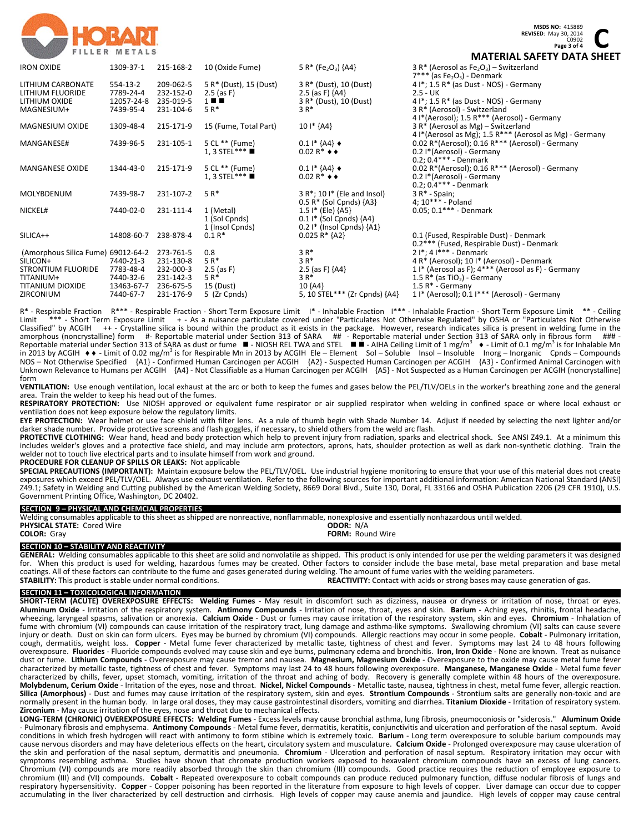

**REVISED:** May 30, 2014<br>
COPO2<br>
COPO202<br>
CA FETY BATA SUE C0902 **Page 3 of 4 MATERIAL SAFETY DATA SHEET**

|            |                                                                                                                                              |                                                                                                                   |                                                                                                                                                                           | IVIAILINALJAI LII <i>V</i> AIA JIILI                                                                                                                                                                                                                                       |
|------------|----------------------------------------------------------------------------------------------------------------------------------------------|-------------------------------------------------------------------------------------------------------------------|---------------------------------------------------------------------------------------------------------------------------------------------------------------------------|----------------------------------------------------------------------------------------------------------------------------------------------------------------------------------------------------------------------------------------------------------------------------|
| 1309-37-1  | 215-168-2                                                                                                                                    | 10 (Oxide Fume)                                                                                                   | 5 R* (Fe <sub>2</sub> O <sub>3</sub> ) {A4}                                                                                                                               | 3 R* (Aerosol as $Fe2O3$ ) – Switzerland<br>$7***$ (as Fe <sub>2</sub> O <sub>3</sub> ) - Denmark                                                                                                                                                                          |
| 554-13-2   | 209-062-5                                                                                                                                    |                                                                                                                   |                                                                                                                                                                           | $4!$ *; 1.5 R* (as Dust - NOS) - Germany                                                                                                                                                                                                                                   |
|            |                                                                                                                                              |                                                                                                                   |                                                                                                                                                                           | $2.5 - UK$                                                                                                                                                                                                                                                                 |
| 12057-24-8 | 235-019-5                                                                                                                                    | $1 \blacksquare$                                                                                                  |                                                                                                                                                                           | 4 $I^*$ ; 1.5 R* (as Dust - NOS) - Germany                                                                                                                                                                                                                                 |
| 7439-95-4  | 231-104-6                                                                                                                                    | $5 R^*$                                                                                                           | $3R*$                                                                                                                                                                     | 3 R* (Aerosol) - Switzerland                                                                                                                                                                                                                                               |
|            |                                                                                                                                              |                                                                                                                   |                                                                                                                                                                           | 4 I*(Aerosol); 1.5 R*** (Aerosol) - Germany                                                                                                                                                                                                                                |
| 1309-48-4  | 215-171-9                                                                                                                                    | 15 (Fume, Total Part)                                                                                             | $101*$ {A4}                                                                                                                                                               | 3 R* (Aerosol as Mg) – Switzerland                                                                                                                                                                                                                                         |
|            |                                                                                                                                              |                                                                                                                   |                                                                                                                                                                           | 4 I*(Aerosol as Mg); 1.5 R*** (Aerosol as Mg) - Germany                                                                                                                                                                                                                    |
| 7439-96-5  | 231-105-1                                                                                                                                    | 5 CL ** (Fume)                                                                                                    | $0.11*$ {A4} $\bullet$                                                                                                                                                    | 0.02 R*(Aerosol); $0.16 R***$ (Aerosol) - Germany                                                                                                                                                                                                                          |
|            |                                                                                                                                              | 1. 3 STEL***                                                                                                      | $0.02 R^*$ $\leftrightarrow$                                                                                                                                              | 0.2 I*(Aerosol) - Germany                                                                                                                                                                                                                                                  |
|            |                                                                                                                                              |                                                                                                                   |                                                                                                                                                                           | $0.2; 0.4***$ - Denmark                                                                                                                                                                                                                                                    |
| 1344-43-0  | 215-171-9                                                                                                                                    | 5 CL ** (Fume)                                                                                                    | $0.11*$ {A4} $\bullet$                                                                                                                                                    | 0.02 R*(Aerosol); 0.16 R*** (Aerosol) - Germany                                                                                                                                                                                                                            |
|            |                                                                                                                                              | 1, 3 STEL***                                                                                                      | $0.02 R^*$ $\leftrightarrow$                                                                                                                                              | 0.2 I*(Aerosol) - Germany                                                                                                                                                                                                                                                  |
|            |                                                                                                                                              |                                                                                                                   |                                                                                                                                                                           | $0.2; 0.4***$ - Denmark                                                                                                                                                                                                                                                    |
| 7439-98-7  | 231-107-2                                                                                                                                    | $5R*$                                                                                                             | $3 R^*$ ; 10 I* (Ele and Insol)                                                                                                                                           | $3 R* - Spain;$                                                                                                                                                                                                                                                            |
|            |                                                                                                                                              |                                                                                                                   | $0.5 R*$ (Sol Cpnds) ${A3}$                                                                                                                                               | 4; $10***$ - Poland                                                                                                                                                                                                                                                        |
|            |                                                                                                                                              |                                                                                                                   |                                                                                                                                                                           | $0.05; 0.1***$ - Denmark                                                                                                                                                                                                                                                   |
|            |                                                                                                                                              |                                                                                                                   |                                                                                                                                                                           |                                                                                                                                                                                                                                                                            |
|            |                                                                                                                                              |                                                                                                                   |                                                                                                                                                                           |                                                                                                                                                                                                                                                                            |
|            |                                                                                                                                              |                                                                                                                   |                                                                                                                                                                           | 0.1 (Fused, Respirable Dust) - Denmark                                                                                                                                                                                                                                     |
|            |                                                                                                                                              |                                                                                                                   |                                                                                                                                                                           | 0.2*** (Fused, Respirable Dust) - Denmark                                                                                                                                                                                                                                  |
|            |                                                                                                                                              |                                                                                                                   |                                                                                                                                                                           | $2!*.4!***$ - Denmark                                                                                                                                                                                                                                                      |
|            |                                                                                                                                              |                                                                                                                   |                                                                                                                                                                           | 4 R* (Aerosol); 10 I* (Aerosol) - Denmark                                                                                                                                                                                                                                  |
|            |                                                                                                                                              |                                                                                                                   |                                                                                                                                                                           | 1 I* (Aerosol as F); 4*** (Aerosol as F) - Germany                                                                                                                                                                                                                         |
|            |                                                                                                                                              |                                                                                                                   |                                                                                                                                                                           | 1.5 $R^*$ (as TiO <sub>2</sub> ) - Germany                                                                                                                                                                                                                                 |
|            |                                                                                                                                              |                                                                                                                   |                                                                                                                                                                           | 1.5 $R^*$ - Germany                                                                                                                                                                                                                                                        |
|            |                                                                                                                                              |                                                                                                                   |                                                                                                                                                                           | $1!$ (Aerosol); 0.1 $1***$ (Aerosol) - Germany                                                                                                                                                                                                                             |
|            | 7789-24-4<br>7440-02-0<br>14808-60-7<br>(Amorphous Silica Fume) 69012-64-2<br>7440-21-3<br>7783-48-4<br>7440-32-6<br>13463-67-7<br>7440-67-7 | 232-152-0<br>231-111-4<br>238-878-4<br>273-761-5<br>231-130-8<br>232-000-3<br>231-142-3<br>236-675-5<br>231-176-9 | 5 R* (Dust), 15 (Dust)<br>$2.5$ (as F)<br>1 (Metal)<br>1 (Sol Cpnds)<br>1 (Insol Cpnds)<br>$0.1 R*$<br>0.8<br>$5R*$<br>$2.5$ (as F)<br>$5R*$<br>15 (Dust)<br>5 (Zr Cpnds) | 3 R* (Dust), 10 (Dust)<br>2.5 (as F) ${AA}$<br>3 R* (Dust), 10 (Dust)<br>$1.5$ I* (Ele) ${AS}$<br>$0.11*$ (Sol Cpnds) {A4}<br>$0.2$ I* (Insol Cpnds) ${A1}$<br>$0.025 R*$ {A2}<br>$3R*$<br>$3R*$<br>2.5 (as F) ${AA}$<br>$3R*$<br>10 {A4}<br>5, 10 STEL*** (Zr Cpnds) {A4} |

R\* - Respirable Fraction R\*\*\* - Respirable Fraction - Short Term Exposure Limit I\* - Inhalable Fraction I\*\*\* - Inhalable Fraction - Short Term Exposure Limit \*\* - Ceiling<br>Limit \*\*\* - Short Term Exposure Limit + - As a puis Limit \*\*\* - Short Term Exposure Limit + - As a nuisance particulate covered under "Particulates Not Otherwise Regulated" by OSHA or "Particulates Not Otherwise<br>Classified" by ACGIH ++ - Crystalline silica is bound within t ++ - Crystalline silica is bound within the product as it exists in the package. However, research indicates silica is present in welding fume in the amorphous (noncrystalline) form #- Reportable material under Section 313 of SARA ##- Reportable material under Section 313 of SARA only in fibrous form ###-<br>Reportable material under Section 313 of SARA as dust or fume ■-NOS – Not Otherwise Specified {A1} ‐ Confirmed Human Carcinogen per ACGIH {A2} ‐ Suspected Human Carcinogen per ACGIH {A3} ‐ Confirmed Animal Carcinogen with Unknown Relevance to Humans per ACGIH {A4} ‐ Not Classifiable as a Human Carcinogen per ACGIH {A5} ‐ Not Suspected as a Human Carcinogen per ACGIH (noncrystalline) form

**VENTILATION:** Use enough ventilation, local exhaust at the arc or both to keep the fumes and gases below the PEL/TLV/OELs in the worker's breathing zone and the general area. Train the welder to keep his head out of the fumes.

**RESPIRATORY PROTECTION:** Use NIOSH approved or equivalent fume respirator or air supplied respirator when welding in confined space or where local exhaust or ventilation does not keep exposure below the regulatory limits.

**EYE PROTECTION:** Wear helmet or use face shield with filter lens. As a rule of thumb begin with Shade Number 14. Adjust if needed by selecting the next lighter and/or darker shade number. Provide protective screens and flash goggles, if necessary, to shield others from the weld arc flash.

PROTECTIVE CLOTHING: Wear hand, head and body protection which help to prevent injury from radiation, sparks and electrical shock. See ANSI Z49.1. At a minimum this includes welder's gloves and a protective face shield, and may include arm protectors, aprons, hats, shoulder protection as well as dark non‐synthetic clothing. Train the welder not to touch live electrical parts and to insulate himself from work and ground.

#### **PROCEDURE FOR CLEANUP OF SPILLS OR LEAKS:** Not applicable

**SPECIAL PRECAUTIONS (IMPORTANT):** Maintain exposure below the PEL/TLV/OEL. Use industrial hygiene monitoring to ensure that your use of this material does not create exposures which exceed PEL/TLV/OEL. Always use exhaust ventilation. Refer to the following sources for important additional information: American National Standard (ANSI) Z49.1; Safety in Welding and Cutting published by the American Welding Society, 8669 Doral Blvd., Suite 130, Doral, FL 33166 and OSHA Publication 2206 (29 CFR 1910), U.S. Government Printing Office, Washington, DC 20402.

# **SECTION 9 – PHYSICAL AND CHEMCIAL PROPERTIES**

Welding consumables applicable to this sheet as shipped are nonreactive, nonflammable, nonexplosive and essentially nonhazardous until welded.<br> **PHYSICAL STATE:** Cored Wire **PHYSICAL STATE: Cored Wire <b>COLOR:** Grav **FORM:** Round Wire

**SECTION 10 – STABILITY AND REACTIVITY** 

**GENERAL:** Welding consumables applicable to this sheet are solid and nonvolatile as shipped. This product is only intended for use per the welding parameters it was designed for. When this product is used for welding, hazardous fumes may be created. Other factors to consider include the base metal, base metal preparation and base metal coatings. All of these factors can contribute to the fume and gases generated during welding. The amount of fume varies with the welding parameters.<br>**STABILITY:** This product is stable under normal conditions. **STABILITY: STABILITY:** This product is stable under normal conditions. **REACTIVITY:** Contact with acids or strong bases may cause generation of gas.

# **SECTION 11 – TOXICOLOGICAL INFORMATION**

SHORT-TERM (ACUTE) OVEREXPOSURE EFFECTS: Welding Fumes - May result in discomfort such as dizziness, nausea or dryness or irritation of nose, throat or eyes. **Aluminum Oxide** ‐ Irritation of the respiratory system. **Antimony Compounds** ‐ Irritation of nose, throat, eyes and skin. **Barium** ‐ Aching eyes, rhinitis, frontal headache, wheezing, laryngeal spasms, salivation or anorexia. **Calcium Oxide** ‐ Dust or fumes may cause irritation of the respiratory system, skin and eyes. **Chromium** ‐ Inhalation of fume with chromium (VI) compounds can cause irritation of the respiratory tract, lung damage and asthma-like symptoms. Swallowing chromium (VI) salts can cause severe injury or death. Dust on skin can form ulcers. Eyes may be burned by chromium (VI) compounds. Allergic reactions may occur in some people. **Cobalt** ‐ Pulmonary irritation, cough, dermatitis, weight loss. Copper - Metal fume fever characterized by metallic taste, tightness of chest and fever. Symptoms may last 24 to 48 hours following overexposure. **Fluorides** ‐ Fluoride compounds evolved may cause skin and eye burns, pulmonary edema and bronchitis. **Iron, Iron Oxide** ‐ None are known. Treat as nuisance dust or fume. **Lithium Compounds** ‐ Overexposure may cause tremor and nausea. **Magnesium, Magnesium Oxide** ‐ Overexposure to the oxide may cause metal fume fever characterized by metallic taste, tightness of chest and fever. Symptoms may last 24 to 48 hours following overexposure. **Manganese, Manganese Oxide** ‐ Metal fume fever characterized by chills, fever, upset stomach, vomiting, irritation of the throat and aching of body. Recovery is generally complete within 48 hours of the overexposure. **Molybdenum, Cerium Oxide** ‐ Irritation of the eyes, nose and throat. **Nickel, Nickel Compounds** ‐ Metallic taste, nausea, tightness in chest, metal fume fever, allergic reaction. **Silica (Amorphous)** ‐ Dust and fumes may cause irritation of the respiratory system, skin and eyes. **Strontium Compounds** ‐ Strontium salts are generally non‐toxic and are normally present in the human body. In large oral doses, they may cause gastrointestinal disorders, vomiting and diarrhea. **Titanium Dioxide** ‐ Irritation of respiratory system. **Zirconium** ‐ May cause irritation of the eyes, nose and throat due to mechanical effects.

LONG-TERM (CHRONIC) OVEREXPOSURE EFFECTS: Welding Fumes - Excess levels may cause bronchial asthma, lung fibrosis, pneumoconiosis or "siderosis." Aluminum Oxide ‐ Pulmonary fibrosis and emphysema. **Antimony Compounds** ‐ Metal fume fever, dermatitis, keratitis, conjunctivitis and ulceration and perforation of the nasal septum. Avoid conditions in which fresh hydrogen will react with antimony to form stibine which is extremely toxic. **Barium** ‐ Long term overexposure to soluble barium compounds may cause nervous disorders and may have deleterious effects on the heart, circulatory system and musculature. **Calcium Oxide** ‐ Prolonged overexposure may cause ulceration of the skin and perforation of the nasal septum, dermatitis and pneumonia. Chromium - Ulceration and perforation of nasal septum. Respiratory irritation may occur with symptoms resembling asthma. Studies have shown that chromate production workers exposed to hexavalent chromium compounds have an excess of lung cancers. Chromium (VI) compounds are more readily absorbed through the skin than chromium (III) compounds. Good practice requires the reduction of employee exposure to chromium (III) and (VI) compounds. **Cobalt** ‐ Repeated overexposure to cobalt compounds can produce reduced pulmonary function, diffuse nodular fibrosis of lungs and respiratory hypersensitivity. Copper - Copper poisoning has been reported in the literature from exposure to high levels of copper. Liver damage can occur due to copper accumulating in the liver characterized by cell destruction and cirrhosis. High levels of copper may cause anemia and jaundice. High levels of copper may cause central